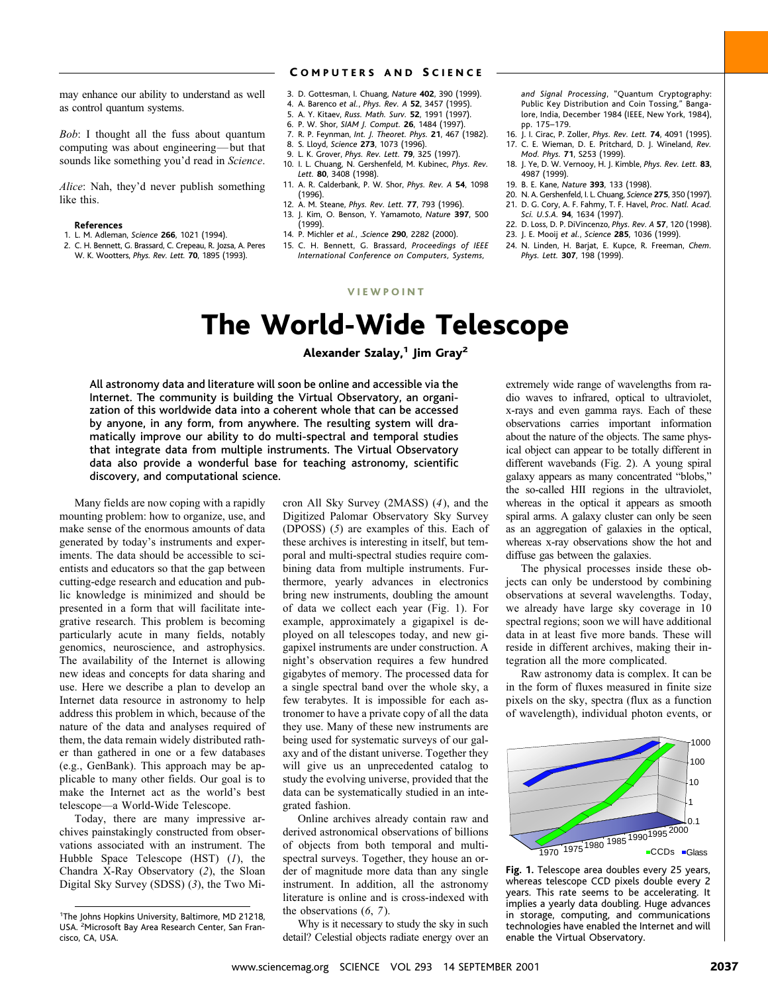may enhance our ability to understand as well as control quantum systems.

Bob: I thought all the fuss about quantum computing was about engineering—but that sounds like something you'd read in Science.

Alice: Nah, they'd never publish something like this.

#### References

- 1. L. M. Adleman, Science 266, 1021 (1994).
- 2. C. H. Bennett, G. Brassard, C. Crepeau, R. Jozsa, A. Peres W. K. Wootters, Phys. Rev. Lett. 70, 1895 (1993).
- 3. D. Gottesman, I. Chuang, Nature 402, 390 (1999).
- 4. A. Barenco et al., Phys. Rev. A 52, 3457 (1995).
- 5. A. Y. Kitaev, Russ. Math. Surv. 52, 1991 (1997).
- 6. P. W. Shor, SIAM J. Comput. 26, 1484 (1997). 7. R. P. Feynman, Int. J. Theoret. Phys. 21, 467 (1982).
- 8. S. Lloyd, Science 273, 1073 (1996).
- 9. L. K. Grover, Phys. Rev. Lett. 79, 325 (1997).
- 10. I. L. Chuang, N. Gershenfeld, M. Kubinec, Phys. Rev. Lett. 80, 3408 (1998).
- 11. A. R. Calderbank, P. W. Shor, Phys. Rev. A 54, 1098 (1996).
- 12. A. M. Steane, Phys. Rev. Lett. 77, 793 (1996). 13. J. Kim, O. Benson, Y. Yamamoto, Nature 397, 500 (1999).
- 14. P. Michler et al., .Science 290, 2282 (2000).
- 15. C. H. Bennett, G. Brassard, Proceedings of IEEE International Conference on Computers, Systems,

#### and Signal Processing, "Quantum Cryptography: Public Key Distribution and Coin Tossing," Bangalore, India, December 1984 (IEEE, New York, 1984), pp. 175–179.

- 16. J. I. Cirac, P. Zoller, Phys. Rev. Lett. 74, 4091 (1995). 17. C. E. Wieman, D. E. Pritchard, D. J. Wineland, Rev.
- Mod. Phys. 71, S253 (1999).
- 18. J. Ye, D. W. Vernooy, H. J. Kimble, Phys. Rev. Lett. 83, 4987 (1999).
- 19. B. E. Kane, Nature 393, 133 (1998).
- 20. N. A. Gershenfeld, I. L. Chuang, Science 275, 350 (1997). 21. D. G. Cory, A. F. Fahmy, T. F. Havel, Proc. Natl. Acad. Sci. U.S.A. 94, 1634 (1997).
- 22. D. Loss, D. P. DiVincenzo, Phys. Rev. A 57, 120 (1998).
- 23. J. E. Mooij et al., Science 285, 1036 (1999).
- 24. N. Linden, H. Barjat, E. Kupce, R. Freeman, Chem. Phys. Lett. 307, 198 (1999).

# VIEWPOINT

# The World-Wide Telescope

Alexander Szalay,<sup>1</sup> Jim Gray<sup>2</sup>

All astronomy data and literature will soon be online and accessible via the Internet. The community is building the Virtual Observatory, an organization of this worldwide data into a coherent whole that can be accessed by anyone, in any form, from anywhere. The resulting system will dramatically improve our ability to do multi-spectral and temporal studies that integrate data from multiple instruments. The Virtual Observatory data also provide a wonderful base for teaching astronomy, scientific discovery, and computational science.

Many fields are now coping with a rapidly mounting problem: how to organize, use, and make sense of the enormous amounts of data generated by today's instruments and experiments. The data should be accessible to scientists and educators so that the gap between cutting-edge research and education and public knowledge is minimized and should be presented in a form that will facilitate integrative research. This problem is becoming particularly acute in many fields, notably genomics, neuroscience, and astrophysics. The availability of the Internet is allowing new ideas and concepts for data sharing and use. Here we describe a plan to develop an Internet data resource in astronomy to help address this problem in which, because of the nature of the data and analyses required of them, the data remain widely distributed rather than gathered in one or a few databases (e.g., GenBank). This approach may be applicable to many other fields. Our goal is to make the Internet act as the world's best telescope—a World-Wide Telescope.

Today, there are many impressive archives painstakingly constructed from observations associated with an instrument. The Hubble Space Telescope  $(HST)$   $(I)$ , the Chandra X-Ray Observatory (2), the Sloan Digital Sky Survey (SDSS) (3), the Two Micron All Sky Survey (2MASS) (4), and the Digitized Palomar Observatory Sky Survey (DPOSS) (5) are examples of this. Each of these archives is interesting in itself, but temporal and multi-spectral studies require combining data from multiple instruments. Furthermore, yearly advances in electronics bring new instruments, doubling the amount of data we collect each year (Fig. 1). For example, approximately a gigapixel is deployed on all telescopes today, and new gigapixel instruments are under construction. A night's observation requires a few hundred gigabytes of memory. The processed data for a single spectral band over the whole sky, a few terabytes. It is impossible for each astronomer to have a private copy of all the data they use. Many of these new instruments are being used for systematic surveys of our galaxy and of the distant universe. Together they will give us an unprecedented catalog to study the evolving universe, provided that the data can be systematically studied in an integrated fashion.

Online archives already contain raw and derived astronomical observations of billions of objects from both temporal and multispectral surveys. Together, they house an order of magnitude more data than any single instrument. In addition, all the astronomy literature is online and is cross-indexed with the observations  $(6, 7)$ .

Why is it necessary to study the sky in such detail? Celestial objects radiate energy over an extremely wide range of wavelengths from radio waves to infrared, optical to ultraviolet, x-rays and even gamma rays. Each of these observations carries important information about the nature of the objects. The same physical object can appear to be totally different in different wavebands (Fig. 2). A young spiral galaxy appears as many concentrated "blobs," the so-called HII regions in the ultraviolet, whereas in the optical it appears as smooth spiral arms. A galaxy cluster can only be seen as an aggregation of galaxies in the optical, whereas x-ray observations show the hot and diffuse gas between the galaxies.

The physical processes inside these objects can only be understood by combining observations at several wavelengths. Today, we already have large sky coverage in 10 spectral regions; soon we will have additional data in at least five more bands. These will reside in different archives, making their integration all the more complicated.

Raw astronomy data is complex. It can be in the form of fluxes measured in finite size pixels on the sky, spectra (flux as a function of wavelength), individual photon events, or



Fig. 1. Telescope area doubles every 25 years, whereas telescope CCD pixels double every 2 years. This rate seems to be accelerating. It implies a yearly data doubling. Huge advances in storage, computing, and communications technologies have enabled the Internet and will enable the Virtual Observatory.

<sup>&</sup>lt;sup>1</sup>The Johns Hopkins University, Baltimore, MD 21218, USA. <sup>2</sup>Microsoft Bay Area Research Center, San Francisco, CA, USA.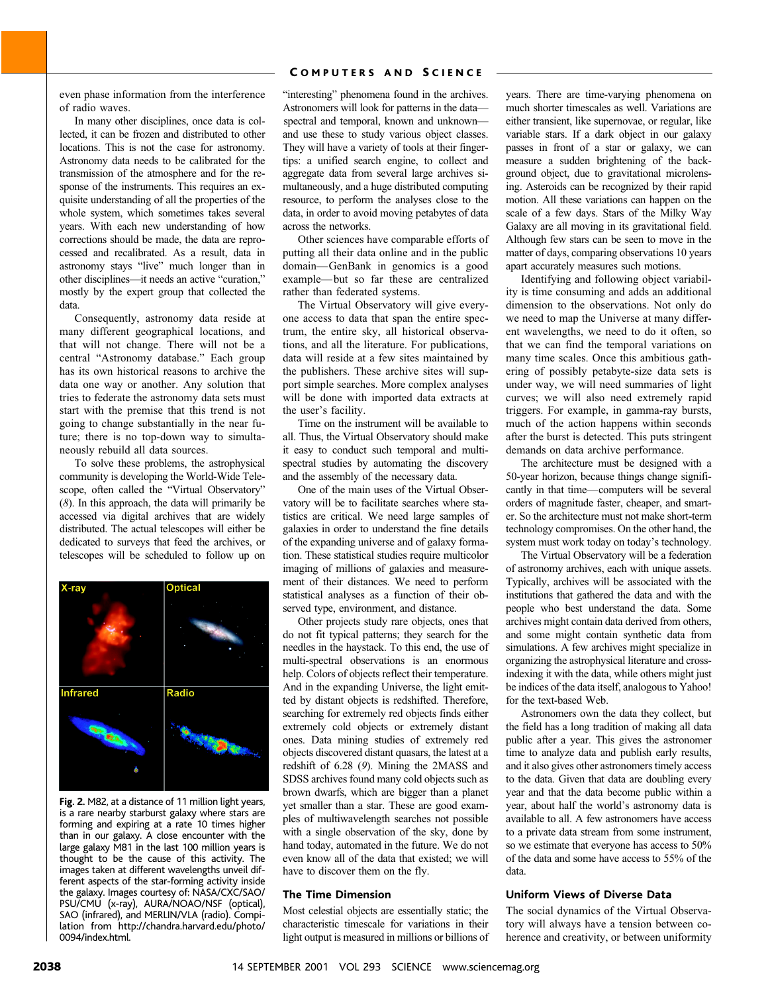even phase information from the interference of radio waves.

In many other disciplines, once data is collected, it can be frozen and distributed to other locations. This is not the case for astronomy. Astronomy data needs to be calibrated for the transmission of the atmosphere and for the response of the instruments. This requires an exquisite understanding of all the properties of the whole system, which sometimes takes several years. With each new understanding of how corrections should be made, the data are reprocessed and recalibrated. As a result, data in astronomy stays "live" much longer than in other disciplines—it needs an active "curation," mostly by the expert group that collected the data.

Consequently, astronomy data reside at many different geographical locations, and that will not change. There will not be a central "Astronomy database." Each group has its own historical reasons to archive the data one way or another. Any solution that tries to federate the astronomy data sets must start with the premise that this trend is not going to change substantially in the near future; there is no top-down way to simultaneously rebuild all data sources.

To solve these problems, the astrophysical community is developing the World-Wide Telescope, often called the "Virtual Observatory" (8). In this approach, the data will primarily be accessed via digital archives that are widely distributed. The actual telescopes will either be dedicated to surveys that feed the archives, or telescopes will be scheduled to follow up on



Fig. 2. M82, at a distance of 11 million light years, is a rare nearby starburst galaxy where stars are forming and expiring at a rate 10 times higher than in our galaxy. A close encounter with the large galaxy M81 in the last 100 million years is thought to be the cause of this activity. The images taken at different wavelengths unveil different aspects of the star-forming activity inside the galaxy. Images courtesy of: NASA/CXC/SAO/ PSU/CMU (x-ray), AURA/NOAO/NSF (optical), SAO (infrared), and MERLIN/VLA (radio). Compilation from http://chandra.harvard.edu/photo/ 0094/index.html.

"interesting" phenomena found in the archives. Astronomers will look for patterns in the data spectral and temporal, known and unknown and use these to study various object classes. They will have a variety of tools at their fingertips: a unified search engine, to collect and aggregate data from several large archives simultaneously, and a huge distributed computing resource, to perform the analyses close to the data, in order to avoid moving petabytes of data across the networks.

Other sciences have comparable efforts of putting all their data online and in the public domain—GenBank in genomics is a good example—but so far these are centralized rather than federated systems.

The Virtual Observatory will give everyone access to data that span the entire spectrum, the entire sky, all historical observations, and all the literature. For publications, data will reside at a few sites maintained by the publishers. These archive sites will support simple searches. More complex analyses will be done with imported data extracts at the user's facility.

Time on the instrument will be available to all. Thus, the Virtual Observatory should make it easy to conduct such temporal and multispectral studies by automating the discovery and the assembly of the necessary data.

One of the main uses of the Virtual Observatory will be to facilitate searches where statistics are critical. We need large samples of galaxies in order to understand the fine details of the expanding universe and of galaxy formation. These statistical studies require multicolor imaging of millions of galaxies and measurement of their distances. We need to perform statistical analyses as a function of their observed type, environment, and distance.

Other projects study rare objects, ones that do not fit typical patterns; they search for the needles in the haystack. To this end, the use of multi-spectral observations is an enormous help. Colors of objects reflect their temperature. And in the expanding Universe, the light emitted by distant objects is redshifted. Therefore, searching for extremely red objects finds either extremely cold objects or extremely distant ones. Data mining studies of extremely red objects discovered distant quasars, the latest at a redshift of 6.28 (9). Mining the 2MASS and SDSS archives found many cold objects such as brown dwarfs, which are bigger than a planet yet smaller than a star. These are good examples of multiwavelength searches not possible with a single observation of the sky, done by hand today, automated in the future. We do not even know all of the data that existed; we will have to discover them on the fly.

# The Time Dimension

Most celestial objects are essentially static; the characteristic timescale for variations in their light output is measured in millions or billions of

years. There are time-varying phenomena on much shorter timescales as well. Variations are either transient, like supernovae, or regular, like variable stars. If a dark object in our galaxy passes in front of a star or galaxy, we can measure a sudden brightening of the background object, due to gravitational microlensing. Asteroids can be recognized by their rapid motion. All these variations can happen on the scale of a few days. Stars of the Milky Way Galaxy are all moving in its gravitational field. Although few stars can be seen to move in the matter of days, comparing observations 10 years apart accurately measures such motions.

Identifying and following object variability is time consuming and adds an additional dimension to the observations. Not only do we need to map the Universe at many different wavelengths, we need to do it often, so that we can find the temporal variations on many time scales. Once this ambitious gathering of possibly petabyte-size data sets is under way, we will need summaries of light curves; we will also need extremely rapid triggers. For example, in gamma-ray bursts, much of the action happens within seconds after the burst is detected. This puts stringent demands on data archive performance.

The architecture must be designed with a 50-year horizon, because things change significantly in that time—computers will be several orders of magnitude faster, cheaper, and smarter. So the architecture must not make short-term technology compromises. On the other hand, the system must work today on today's technology.

The Virtual Observatory will be a federation of astronomy archives, each with unique assets. Typically, archives will be associated with the institutions that gathered the data and with the people who best understand the data. Some archives might contain data derived from others, and some might contain synthetic data from simulations. A few archives might specialize in organizing the astrophysical literature and crossindexing it with the data, while others might just be indices of the data itself, analogous to Yahoo! for the text-based Web.

Astronomers own the data they collect, but the field has a long tradition of making all data public after a year. This gives the astronomer time to analyze data and publish early results, and it also gives other astronomers timely access to the data. Given that data are doubling every year and that the data become public within a year, about half the world's astronomy data is available to all. A few astronomers have access to a private data stream from some instrument, so we estimate that everyone has access to 50% of the data and some have access to 55% of the data.

## Uniform Views of Diverse Data

The social dynamics of the Virtual Observatory will always have a tension between coherence and creativity, or between uniformity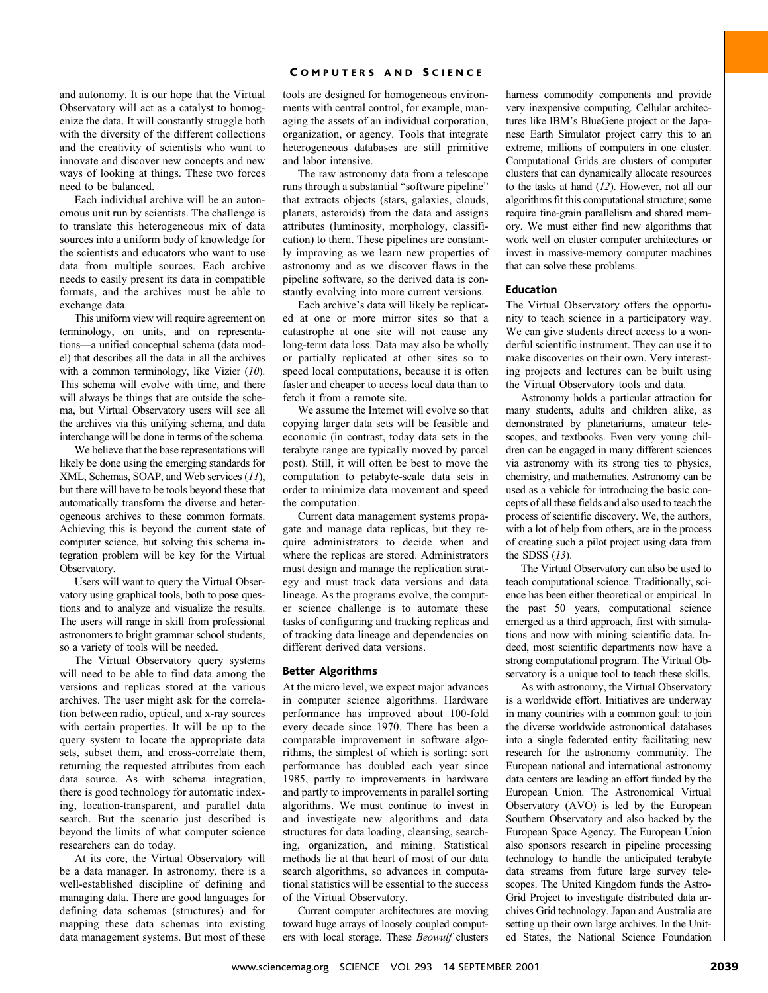and autonomy. It is our hope that the Virtual Observatory will act as a catalyst to homogenize the data. It will constantly struggle both with the diversity of the different collections and the creativity of scientists who want to innovate and discover new concepts and new ways of looking at things. These two forces need to be balanced.

Each individual archive will be an autonomous unit run by scientists. The challenge is to translate this heterogeneous mix of data sources into a uniform body of knowledge for the scientists and educators who want to use data from multiple sources. Each archive needs to easily present its data in compatible formats, and the archives must be able to exchange data.

This uniform view will require agreement on terminology, on units, and on representations—a unified conceptual schema (data model) that describes all the data in all the archives with a common terminology, like Vizier (10). This schema will evolve with time, and there will always be things that are outside the schema, but Virtual Observatory users will see all the archives via this unifying schema, and data interchange will be done in terms of the schema.

We believe that the base representations will likely be done using the emerging standards for XML, Schemas, SOAP, and Web services (11), but there will have to be tools beyond these that automatically transform the diverse and heterogeneous archives to these common formats. Achieving this is beyond the current state of computer science, but solving this schema integration problem will be key for the Virtual Observatory.

Users will want to query the Virtual Observatory using graphical tools, both to pose questions and to analyze and visualize the results. The users will range in skill from professional astronomers to bright grammar school students, so a variety of tools will be needed.

The Virtual Observatory query systems will need to be able to find data among the versions and replicas stored at the various archives. The user might ask for the correlation between radio, optical, and x-ray sources with certain properties. It will be up to the query system to locate the appropriate data sets, subset them, and cross-correlate them, returning the requested attributes from each data source. As with schema integration, there is good technology for automatic indexing, location-transparent, and parallel data search. But the scenario just described is beyond the limits of what computer science researchers can do today.

At its core, the Virtual Observatory will be a data manager. In astronomy, there is a well-established discipline of defining and managing data. There are good languages for defining data schemas (structures) and for mapping these data schemas into existing data management systems. But most of these

tools are designed for homogeneous environments with central control, for example, managing the assets of an individual corporation, organization, or agency. Tools that integrate heterogeneous databases are still primitive and labor intensive.

The raw astronomy data from a telescope runs through a substantial "software pipeline" that extracts objects (stars, galaxies, clouds, planets, asteroids) from the data and assigns attributes (luminosity, morphology, classification) to them. These pipelines are constantly improving as we learn new properties of astronomy and as we discover flaws in the pipeline software, so the derived data is constantly evolving into more current versions.

Each archive's data will likely be replicated at one or more mirror sites so that a catastrophe at one site will not cause any long-term data loss. Data may also be wholly or partially replicated at other sites so to speed local computations, because it is often faster and cheaper to access local data than to fetch it from a remote site.

We assume the Internet will evolve so that copying larger data sets will be feasible and economic (in contrast, today data sets in the terabyte range are typically moved by parcel post). Still, it will often be best to move the computation to petabyte-scale data sets in order to minimize data movement and speed the computation.

Current data management systems propagate and manage data replicas, but they require administrators to decide when and where the replicas are stored. Administrators must design and manage the replication strategy and must track data versions and data lineage. As the programs evolve, the computer science challenge is to automate these tasks of configuring and tracking replicas and of tracking data lineage and dependencies on different derived data versions.

### Better Algorithms

At the micro level, we expect major advances in computer science algorithms. Hardware performance has improved about 100-fold every decade since 1970. There has been a comparable improvement in software algorithms, the simplest of which is sorting: sort performance has doubled each year since 1985, partly to improvements in hardware and partly to improvements in parallel sorting algorithms. We must continue to invest in and investigate new algorithms and data structures for data loading, cleansing, searching, organization, and mining. Statistical methods lie at that heart of most of our data search algorithms, so advances in computational statistics will be essential to the success of the Virtual Observatory.

Current computer architectures are moving toward huge arrays of loosely coupled computers with local storage. These Beowulf clusters

harness commodity components and provide very inexpensive computing. Cellular architectures like IBM's BlueGene project or the Japanese Earth Simulator project carry this to an extreme, millions of computers in one cluster. Computational Grids are clusters of computer clusters that can dynamically allocate resources to the tasks at hand (12). However, not all our algorithms fit this computational structure; some require fine-grain parallelism and shared memory. We must either find new algorithms that work well on cluster computer architectures or invest in massive-memory computer machines that can solve these problems.

# Education

The Virtual Observatory offers the opportunity to teach science in a participatory way. We can give students direct access to a wonderful scientific instrument. They can use it to make discoveries on their own. Very interesting projects and lectures can be built using the Virtual Observatory tools and data.

Astronomy holds a particular attraction for many students, adults and children alike, as demonstrated by planetariums, amateur telescopes, and textbooks. Even very young children can be engaged in many different sciences via astronomy with its strong ties to physics, chemistry, and mathematics. Astronomy can be used as a vehicle for introducing the basic concepts of all these fields and also used to teach the process of scientific discovery. We, the authors, with a lot of help from others, are in the process of creating such a pilot project using data from the SDSS  $(13)$ .

The Virtual Observatory can also be used to teach computational science. Traditionally, science has been either theoretical or empirical. In the past 50 years, computational science emerged as a third approach, first with simulations and now with mining scientific data. Indeed, most scientific departments now have a strong computational program. The Virtual Observatory is a unique tool to teach these skills.

As with astronomy, the Virtual Observatory is a worldwide effort. Initiatives are underway in many countries with a common goal: to join the diverse worldwide astronomical databases into a single federated entity facilitating new research for the astronomy community. The European national and international astronomy data centers are leading an effort funded by the European Union. The Astronomical Virtual Observatory (AVO) is led by the European Southern Observatory and also backed by the European Space Agency. The European Union also sponsors research in pipeline processing technology to handle the anticipated terabyte data streams from future large survey telescopes. The United Kingdom funds the Astro-Grid Project to investigate distributed data archives Grid technology. Japan and Australia are setting up their own large archives. In the United States, the National Science Foundation